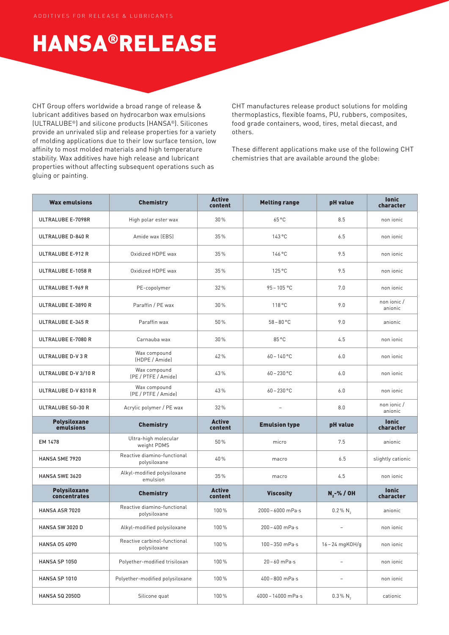## HANSA®RELEASE

CHT Group offers worldwide a broad range of release & lubricant additives based on hydrocarbon wax emulsions (ULTRALUBE®) and silicone products (HANSA®). Silicones provide an unrivaled slip and release properties for a variety of molding applications due to their low surface tension, low affinity to most molded materials and high temperature stability. Wax additives have high release and lubricant properties without affecting subsequent operations such as gluing or painting.

CHT manufactures release product solutions for molding thermoplastics, flexible foams, PU, rubbers, composites, food grade containers, wood, tires, metal diecast, and others.

These different applications make use of the following CHT chemistries that are available around the globe:

| <b>Wax emulsions</b>                | <b>Chemistry</b>                             | <b>Active</b><br>content | <b>Melting range</b>      | pH value                 | <b>lonic</b><br>character |
|-------------------------------------|----------------------------------------------|--------------------------|---------------------------|--------------------------|---------------------------|
| ULTRALUBE E-7098R                   | High polar ester wax                         | 30%                      | 65 °C                     | 8.5                      | non ionic                 |
| ULTRALUBE D-840 R                   | Amide wax (EBS)                              | 35%                      | 143°C                     | 6.5                      | non ionic                 |
| ULTRALUBE E-912 R                   | Oxidized HDPE wax                            | 35%                      | 146 °C                    | 9.5                      | non ionic                 |
| ULTRALUBE E-1058 R                  | Oxidized HDPE wax                            | 35%                      | 125 °C                    | 9.5                      | non ionic                 |
| ULTRALUBE T-969 R                   | PE-copolymer                                 | 32%                      | $95 - 105 °C$             | 7.0                      | non ionic                 |
| ULTRALUBE E-3890 R                  | Paraffin / PE wax                            | 30%                      | 118 °C                    | 9.0                      | non ionic /<br>anionic    |
| ULTRALUBE E-345 R                   | Paraffin wax                                 | 50%                      | $58 - 80 °C$              | 9.0                      | anionic                   |
| ULTRALUBE E-7080 R                  | Carnauba wax                                 | 30%                      | 85 °C                     | 4.5                      | non ionic                 |
| <b>ULTRALUBE D-V3R</b>              | Wax compound<br>(HDPE / Amide)               | 42%                      | $60 - 140$ °C             | 6.0                      | non ionic                 |
| ULTRALUBE D-V 3/10 R                | Wax compound<br>(PE / PTFE / Amide)          | 43%                      | $60 - 230$ °C             | 6.0                      | non ionic                 |
| ULTRALUBE D-V 8310 R                | Wax compound<br>(PE / PTFE / Amide)          | 43%                      | $60 - 230$ °C             | 6.0                      | non ionic                 |
| <b>ULTRALUBE SG-30 R</b>            | Acrylic polymer / PE wax                     | 32%                      | $\bar{ }$                 | 8.0                      | non ionic /<br>anionic    |
| <b>Polysiloxane</b><br>emulsions    | <b>Chemistry</b>                             | <b>Active</b><br>content | <b>Emulsion type</b>      | pH value                 | <b>lonic</b><br>character |
| EM 1478                             | Ultra-high molecular<br>weight PDMS          | 50%                      | micro                     | 7.5                      | anionic                   |
| HANSA SME 7920                      | Reactive diamino-functional<br>polysiloxane  | 40%                      | macro                     | 6.5                      | slightly cationic         |
| HANSA SWE 3620                      | Alkyl-modified polysiloxane<br>emulsion      | 35%                      | macro                     | 4.5                      | non ionic                 |
| <b>Polysiloxane</b><br>concentrates | <b>Chemistry</b>                             | <b>Active</b><br>content | <b>Viscosity</b>          | N <sub>2</sub> -%/OH     | <b>lonic</b><br>character |
| HANSA ASR 7020                      | Reactive diamino-functional<br>polysiloxane  | 100%                     | 2000-6000 mPa·s           | $0.2\%$ N <sub>2</sub>   | anionic                   |
| <b>HANSA SW 3020 D</b>              | Alkyl-modified polysiloxane                  | 100%                     | $200 - 400$ mPa $\cdot$ s | $\overline{\phantom{a}}$ | non jonic                 |
| <b>HANSA 0S 4090</b>                | Reactive carbinol-functional<br>polysiloxane | 100%                     | $100 - 350$ mPa $\cdot$ s | 16-24 mgKOH/g            | non ionic                 |
| HANSA SP 1050                       | Polyether-modified trisiloxan                | 100%                     | $20 - 60$ mPa $\cdot$ s   | $\overline{\phantom{a}}$ | non ionic                 |
| HANSA SP 1010                       | Polyether-modified polysiloxane              | 100%                     | 400-800 mPa-s             |                          | non ionic                 |
| HANSA SQ 2050D                      | Silicone quat                                | 100%                     | 4000-14000 mPa·s          | $0.3\%$ N <sub>2</sub>   | cationic                  |